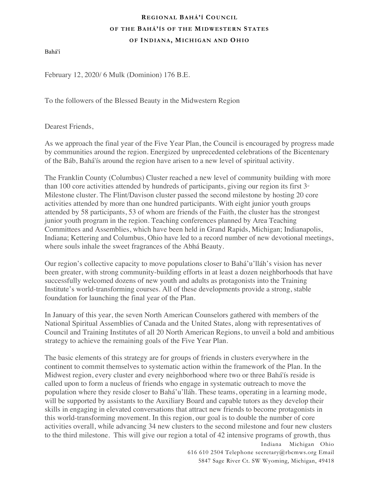## **REGIONAL BAHÁ'Í COUNCIL OF THE BAHÁ'ÍS OF THE MIDWESTERN STATES OF INDIANA, MICHIGAN AND OHIO**

Bahá'í

February 12, 2020/ 6 Mulk (Dominion) 176 B.E.

To the followers of the Blessed Beauty in the Midwestern Region

Dearest Friends,

As we approach the final year of the Five Year Plan, the Council is encouraged by progress made by communities around the region. Energized by unprecedented celebrations of the Bicentenary of the Báb, Bahá'ís around the region have arisen to a new level of spiritual activity.

The Franklin County (Columbus) Cluster reached a new level of community building with more than 100 core activities attended by hundreds of participants, giving our region its first  $3<sup>d</sup>$ Milestone cluster. The Flint/Davison cluster passed the second milestone by hosting 20 core activities attended by more than one hundred participants. With eight junior youth groups attended by 58 participants, 53 of whom are friends of the Faith, the cluster has the strongest junior youth program in the region. Teaching conferences planned by Area Teaching Committees and Assemblies, which have been held in Grand Rapids, Michigan; Indianapolis, Indiana; Kettering and Columbus, Ohio have led to a record number of new devotional meetings, where souls inhale the sweet fragrances of the Abhá Beauty.

Our region's collective capacity to move populations closer to Bahá'u'lláh's vision has never been greater, with strong community-building efforts in at least a dozen neighborhoods that have successfully welcomed dozens of new youth and adults as protagonists into the Training Institute's world-transforming courses. All of these developments provide a strong, stable foundation for launching the final year of the Plan.

In January of this year, the seven North American Counselors gathered with members of the National Spiritual Assemblies of Canada and the United States, along with representatives of Council and Training Institutes of all 20 North American Regions, to unveil a bold and ambitious strategy to achieve the remaining goals of the Five Year Plan.

The basic elements of this strategy are for groups of friends in clusters everywhere in the continent to commit themselves to systematic action within the framework of the Plan. In the Midwest region, every cluster and every neighborhood where two or three Bahá'ís reside is called upon to form a nucleus of friends who engage in systematic outreach to move the population where they reside closer to Bahá'u'lláh. These teams, operating in a learning mode, will be supported by assistants to the Auxiliary Board and capable tutors as they develop their skills in engaging in elevated conversations that attract new friends to become protagonists in this world-transforming movement. In this region, our goal is to double the number of core activities overall, while advancing 34 new clusters to the second milestone and four new clusters to the third milestone. This will give our region a total of 42 intensive programs of growth, thus

 Indiana Michigan Ohio 616 610 2504 Telephone secretary@rbcmws.org Email 5847 Sage River Ct. SW Wyoming, Michigan, 49418